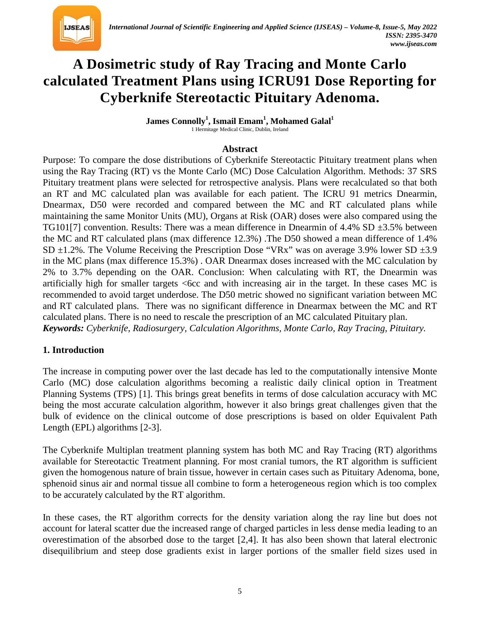

# **A Dosimetric study of Ray Tracing and Monte Carlo calculated Treatment Plans using ICRU91 Dose Reporting for Cyberknife Stereotactic Pituitary Adenoma.**

 $\bm{\mathrm{James\; Conrolly}^1, \, \mathrm{Ismail\; Emann}^1, \, \mathrm{Mohamed\; Galal}^1}$ 1 Hermitage Medical Clinic, Dublin, Ireland

#### **Abstract**

Purpose: To compare the dose distributions of Cyberknife Stereotactic Pituitary treatment plans when using the Ray Tracing (RT) vs the Monte Carlo (MC) Dose Calculation Algorithm. Methods: 37 SRS Pituitary treatment plans were selected for retrospective analysis. Plans were recalculated so that both an RT and MC calculated plan was available for each patient. The ICRU 91 metrics Dnearmin, Dnearmax, D50 were recorded and compared between the MC and RT calculated plans while maintaining the same Monitor Units (MU), Organs at Risk (OAR) doses were also compared using the TG101[7] convention. Results: There was a mean difference in Dnearmin of  $4.4\%$  SD  $\pm 3.5\%$  between the MC and RT calculated plans (max difference 12.3%) .The D50 showed a mean difference of 1.4% SD  $\pm$ 1.2%. The Volume Receiving the Prescription Dose "VRx" was on average 3.9% lower SD  $\pm$ 3.9 in the MC plans (max difference 15.3%) . OAR Dnearmax doses increased with the MC calculation by 2% to 3.7% depending on the OAR. Conclusion: When calculating with RT, the Dnearmin was artificially high for smaller targets <6cc and with increasing air in the target. In these cases MC is recommended to avoid target underdose. The D50 metric showed no significant variation between MC and RT calculated plans. There was no significant difference in Dnearmax between the MC and RT calculated plans. There is no need to rescale the prescription of an MC calculated Pituitary plan. *Keywords: Cyberknife, Radiosurgery, Calculation Algorithms, Monte Carlo, Ray Tracing, Pituitary.*

#### **1. Introduction**

The increase in computing power over the last decade has led to the computationally intensive Monte Carlo (MC) dose calculation algorithms becoming a realistic daily clinical option in Treatment Planning Systems (TPS) [1]. This brings great benefits in terms of dose calculation accuracy with MC being the most accurate calculation algorithm, however it also brings great challenges given that the bulk of evidence on the clinical outcome of dose prescriptions is based on older Equivalent Path Length (EPL) algorithms [2-3].

The Cyberknife Multiplan treatment planning system has both MC and Ray Tracing (RT) algorithms available for Stereotactic Treatment planning. For most cranial tumors, the RT algorithm is sufficient given the homogenous nature of brain tissue, however in certain cases such as Pituitary Adenoma, bone, sphenoid sinus air and normal tissue all combine to form a heterogeneous region which is too complex to be accurately calculated by the RT algorithm.

In these cases, the RT algorithm corrects for the density variation along the ray line but does not account for lateral scatter due the increased range of charged particles in less dense media leading to an overestimation of the absorbed dose to the target [2,4]. It has also been shown that lateral electronic disequilibrium and steep dose gradients exist in larger portions of the smaller field sizes used in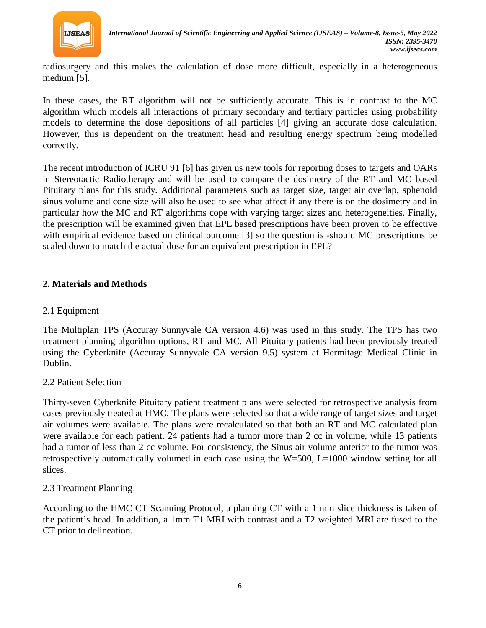

radiosurgery and this makes the calculation of dose more difficult, especially in a heterogeneous medium [5].

In these cases, the RT algorithm will not be sufficiently accurate. This is in contrast to the MC algorithm which models all interactions of primary secondary and tertiary particles using probability models to determine the dose depositions of all particles [4] giving an accurate dose calculation. However, this is dependent on the treatment head and resulting energy spectrum being modelled correctly.

The recent introduction of ICRU 91 [6] has given us new tools for reporting doses to targets and OARs in Stereotactic Radiotherapy and will be used to compare the dosimetry of the RT and MC based Pituitary plans for this study. Additional parameters such as target size, target air overlap, sphenoid sinus volume and cone size will also be used to see what affect if any there is on the dosimetry and in particular how the MC and RT algorithms cope with varying target sizes and heterogeneities. Finally, the prescription will be examined given that EPL based prescriptions have been proven to be effective with empirical evidence based on clinical outcome [3] so the question is -should MC prescriptions be scaled down to match the actual dose for an equivalent prescription in EPL?

## **2. Materials and Methods**

# 2.1 Equipment

The Multiplan TPS (Accuray Sunnyvale CA version 4.6) was used in this study. The TPS has two treatment planning algorithm options, RT and MC. All Pituitary patients had been previously treated using the Cyberknife (Accuray Sunnyvale CA version 9.5) system at Hermitage Medical Clinic in Dublin.

## 2.2 Patient Selection

Thirty-seven Cyberknife Pituitary patient treatment plans were selected for retrospective analysis from cases previously treated at HMC. The plans were selected so that a wide range of target sizes and target air volumes were available. The plans were recalculated so that both an RT and MC calculated plan were available for each patient. 24 patients had a tumor more than 2 cc in volume, while 13 patients had a tumor of less than 2 cc volume. For consistency, the Sinus air volume anterior to the tumor was retrospectively automatically volumed in each case using the W=500, L=1000 window setting for all slices.

## 2.3 Treatment Planning

According to the HMC CT Scanning Protocol, a planning CT with a 1 mm slice thickness is taken of the patient's head. In addition, a 1mm T1 MRI with contrast and a T2 weighted MRI are fused to the CT prior to delineation.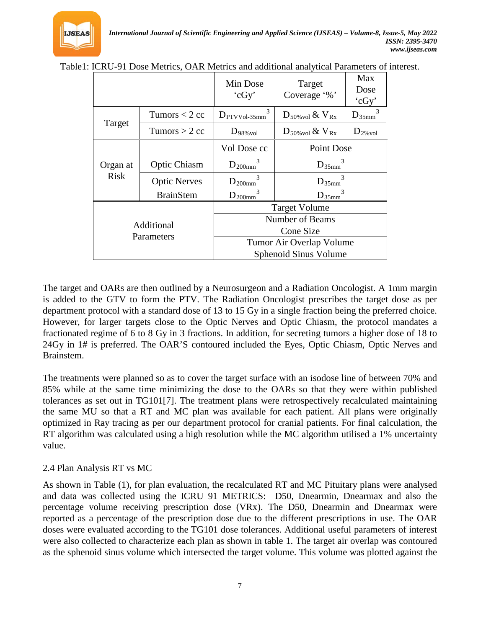|                          |                     | Min Dose<br>'cGy'                 | Target<br>Coverage '%'           | Max<br>Dose<br>'cGy' |
|--------------------------|---------------------|-----------------------------------|----------------------------------|----------------------|
|                          | Tumors $<$ 2 cc     | $\mathbf{3}$<br>$D_{PTVV0l-35mm}$ | $D_{50\%\text{vol}}$ & $V_{Rx}$  | $D_{35mm}$           |
| Target                   | Tumors $> 2$ cc     | $D_{98\%\text{vol}}$              | $D_{50\% \text{vol}}$ & $V_{Rx}$ | $D_{2\%\text{vol}}$  |
|                          |                     | Vol Dose cc                       | Point Dose                       |                      |
| Organ at<br><b>Risk</b>  | <b>Optic Chiasm</b> | $D_{200mm}$                       | $D_{35mm}$                       |                      |
|                          | <b>Optic Nerves</b> | $D_{200mm}$                       | $D_{35mm}$                       |                      |
|                          | <b>BrainStem</b>    | $D_{200mm}$                       | $D_{35mm}$                       |                      |
| Additional<br>Parameters |                     | <b>Target Volume</b>              |                                  |                      |
|                          |                     | Number of Beams                   |                                  |                      |
|                          |                     | Cone Size                         |                                  |                      |
|                          |                     | Tumor Air Overlap Volume          |                                  |                      |
|                          |                     | Sphenoid Sinus Volume             |                                  |                      |

|  | Table1: ICRU-91 Dose Metrics, OAR Metrics and additional analytical Parameters of interest. |
|--|---------------------------------------------------------------------------------------------|

The target and OARs are then outlined by a Neurosurgeon and a Radiation Oncologist. A 1mm margin is added to the GTV to form the PTV. The Radiation Oncologist prescribes the target dose as per department protocol with a standard dose of 13 to 15 Gy in a single fraction being the preferred choice. However, for larger targets close to the Optic Nerves and Optic Chiasm, the protocol mandates a fractionated regime of 6 to 8 Gy in 3 fractions. In addition, for secreting tumors a higher dose of 18 to 24Gy in 1# is preferred. The OAR'S contoured included the Eyes, Optic Chiasm, Optic Nerves and Brainstem.

The treatments were planned so as to cover the target surface with an isodose line of between 70% and 85% while at the same time minimizing the dose to the OARs so that they were within published tolerances as set out in TG101[7]. The treatment plans were retrospectively recalculated maintaining the same MU so that a RT and MC plan was available for each patient. All plans were originally optimized in Ray tracing as per our department protocol for cranial patients. For final calculation, the RT algorithm was calculated using a high resolution while the MC algorithm utilised a 1% uncertainty value.

## 2.4 Plan Analysis RT vs MC

As shown in Table (1), for plan evaluation, the recalculated RT and MC Pituitary plans were analysed and data was collected using the ICRU 91 METRICS: D50, Dnearmin, Dnearmax and also the percentage volume receiving prescription dose (VRx). The D50, Dnearmin and Dnearmax were reported as a percentage of the prescription dose due to the different prescriptions in use. The OAR doses were evaluated according to the TG101 dose tolerances. Additional useful parameters of interest were also collected to characterize each plan as shown in table 1. The target air overlap was contoured as the sphenoid sinus volume which intersected the target volume. This volume was plotted against the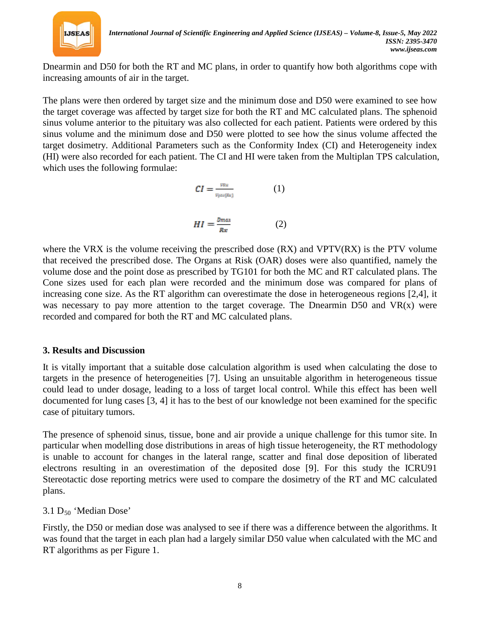

Dnearmin and D50 for both the RT and MC plans, in order to quantify how both algorithms cope with increasing amounts of air in the target.

The plans were then ordered by target size and the minimum dose and D50 were examined to see how the target coverage was affected by target size for both the RT and MC calculated plans. The sphenoid sinus volume anterior to the pituitary was also collected for each patient. Patients were ordered by this sinus volume and the minimum dose and D50 were plotted to see how the sinus volume affected the target dosimetry. Additional Parameters such as the Conformity Index (CI) and Heterogeneity index (HI) were also recorded for each patient. The CI and HI were taken from the Multiplan TPS calculation, which uses the following formulae:

$$
CI = \frac{\nu_{Rx}}{\nu_{\text{gen}(Rx)}} \tag{1}
$$

$$
HI = \frac{D_{max}}{Rx}
$$
 (2)

where the VRX is the volume receiving the prescribed dose  $(RX)$  and VPTV $(RX)$  is the PTV volume that received the prescribed dose. The Organs at Risk (OAR) doses were also quantified, namely the volume dose and the point dose as prescribed by TG101 for both the MC and RT calculated plans. The Cone sizes used for each plan were recorded and the minimum dose was compared for plans of increasing cone size. As the RT algorithm can overestimate the dose in heterogeneous regions [2,4], it was necessary to pay more attention to the target coverage. The Dnearmin D50 and  $VR(x)$  were recorded and compared for both the RT and MC calculated plans.

## **3. Results and Discussion**

It is vitally important that a suitable dose calculation algorithm is used when calculating the dose to targets in the presence of heterogeneities [7]. Using an unsuitable algorithm in heterogeneous tissue could lead to under dosage, leading to a loss of target local control. While this effect has been well documented for lung cases [3, 4] it has to the best of our knowledge not been examined for the specific case of pituitary tumors.

The presence of sphenoid sinus, tissue, bone and air provide a unique challenge for this tumor site. In particular when modelling dose distributions in areas of high tissue heterogeneity, the RT methodology is unable to account for changes in the lateral range, scatter and final dose deposition of liberated electrons resulting in an overestimation of the deposited dose [9]. For this study the ICRU91 Stereotactic dose reporting metrics were used to compare the dosimetry of the RT and MC calculated plans.

# $3.1$  D<sub>50</sub> 'Median Dose'

Firstly, the D50 or median dose was analysed to see if there was a difference between the algorithms. It was found that the target in each plan had a largely similar D50 value when calculated with the MC and RT algorithms as per Figure 1.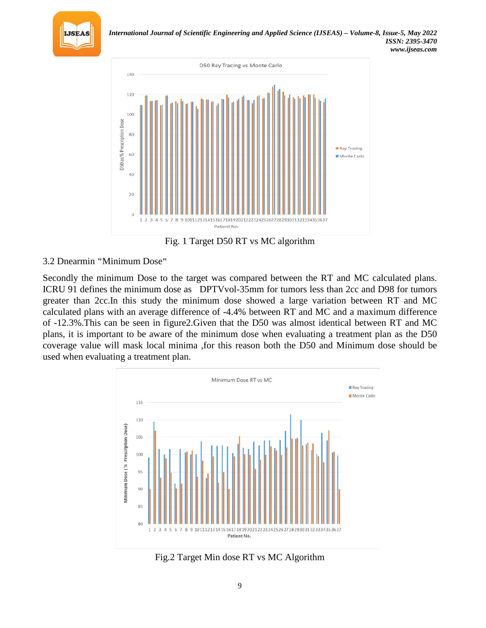



Fig. 1 Target D50 RT vs MC algorithm

# 3.2 Dnearmin **"**Minimum Dose**"**

Secondly the minimum Dose to the target was compared between the RT and MC calculated plans. ICRU 91 defines the minimum dose as DPTVvol-35mm for tumors less than 2cc and D98 for tumors greater than 2cc.In this study the minimum dose showed a large variation between RT and MC calculated plans with an average difference of -4.4% between RT and MC and a maximum difference of -12.3%.This can be seen in figure2.Given that the D50 was almost identical between RT and MC plans, it is important to be aware of the minimum dose when evaluating a treatment plan as the D50 coverage value will mask local minima ,for this reason both the D50 and Minimum dose should be used when evaluating a treatment plan.



Fig.2 Target Min dose RT vs MC Algorithm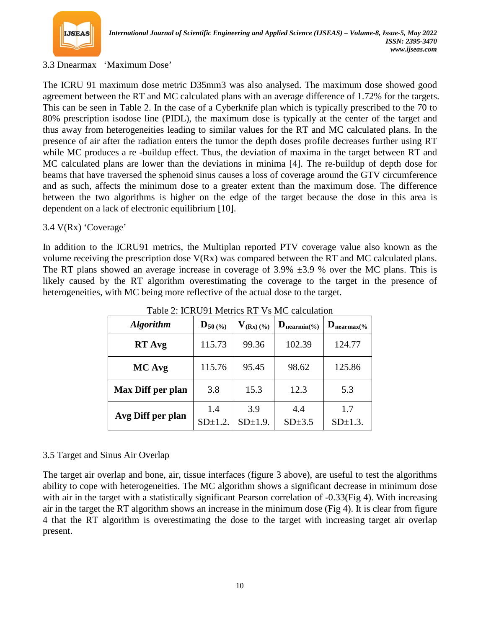

## 3.3 Dnearmax 'Maximum Dose'

The ICRU 91 maximum dose metric D35mm3 was also analysed. The maximum dose showed good agreement between the RT and MC calculated plans with an average difference of 1.72% for the targets. This can be seen in Table 2. In the case of a Cyberknife plan which is typically prescribed to the 70 to 80% prescription isodose line (PIDL), the maximum dose is typically at the center of the target and thus away from heterogeneities leading to similar values for the RT and MC calculated plans. In the presence of air after the radiation enters the tumor the depth doses profile decreases further using RT while MC produces a re -buildup effect. Thus, the deviation of maxima in the target between RT and MC calculated plans are lower than the deviations in minima [4]. The re-buildup of depth dose for beams that have traversed the sphenoid sinus causes a loss of coverage around the GTV circumference and as such, affects the minimum dose to a greater extent than the maximum dose. The difference between the two algorithms is higher on the edge of the target because the dose in this area is dependent on a lack of electronic equilibrium [10].

## 3.4 V(Rx) 'Coverage'

In addition to the ICRU91 metrics, the Multiplan reported PTV coverage value also known as the volume receiving the prescription dose V(Rx) was compared between the RT and MC calculated plans. The RT plans showed an average increase in coverage of  $3.9\% \pm 3.9$  % over the MC plans. This is likely caused by the RT algorithm overestimating the coverage to the target in the presence of heterogeneities, with MC being more reflective of the actual dose to the target.

| <b>Algorithm</b>  | $\mathbf{D}_{50}$ (%) | $V_{(Rx)(\%)}$      | $\mathbf{D}_{\text{nearmin}(\%)}$ | $\mathbf{D}_{\text{nearmax}(\%)}$ |
|-------------------|-----------------------|---------------------|-----------------------------------|-----------------------------------|
| <b>RT</b> Avg     | 115.73                | 99.36               | 102.39                            | 124.77                            |
| MC Avg            | 115.76                | 95.45               | 98.62                             | 125.86                            |
| Max Diff per plan | 3.8                   | 15.3                | 12.3                              | 5.3                               |
| Avg Diff per plan | 1.4<br>$SD\pm1.2$ .   | 3.9<br>$SD\pm1.9$ . | 4.4<br>$SD\pm3.5$                 | 1.7<br>$SD\pm1.3$ .               |

Table 2: ICRU91 Metrics RT Vs MC calculation

## 3.5 Target and Sinus Air Overlap

The target air overlap and bone, air, tissue interfaces (figure 3 above), are useful to test the algorithms ability to cope with heterogeneities. The MC algorithm shows a significant decrease in minimum dose with air in the target with a statistically significant Pearson correlation of -0.33(Fig 4). With increasing air in the target the RT algorithm shows an increase in the minimum dose (Fig 4). It is clear from figure 4 that the RT algorithm is overestimating the dose to the target with increasing target air overlap present.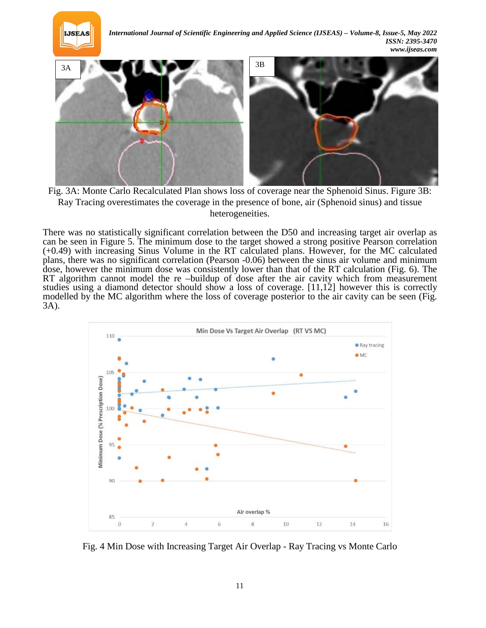



Fig. 3A: Monte Carlo Recalculated Plan shows loss of coverage near the Sphenoid Sinus. Figure 3B: Ray Tracing overestimates the coverage in the presence of bone, air (Sphenoid sinus) and tissue heterogeneities.

There was no statistically significant correlation between the D50 and increasing target air overlap as can be seen in Figure 5. The minimum dose to the target showed a strong positive Pearson correlation (+0.49) with increasing Sinus Volume in the RT calculated plans. However, for the MC calculated plans, there was no significant correlation (Pearson -0.06) between the sinus air volume and minimum dose, however the minimum dose was consistently lower than that of the RT calculation (Fig. 6). The RT algorithm cannot model the re –buildup of dose after the air cavity which from measurement studies using a diamond detector should show a loss of coverage. [11,12] however this is correctly modelled by the MC algorithm where the loss of coverage posterior to the air cavity can be seen (Fig. 3A).



Fig. 4 Min Dose with Increasing Target Air Overlap - Ray Tracing vs Monte Carlo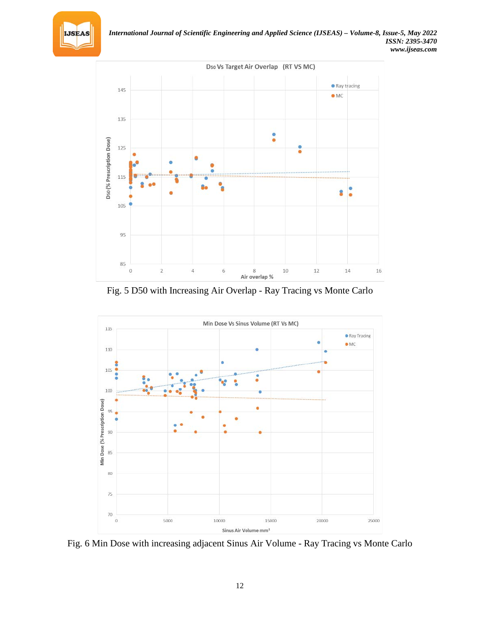



Fig. 5 D50 with Increasing Air Overlap - Ray Tracing vs Monte Carlo



Fig. 6 Min Dose with increasing adjacent Sinus Air Volume - Ray Tracing vs Monte Carlo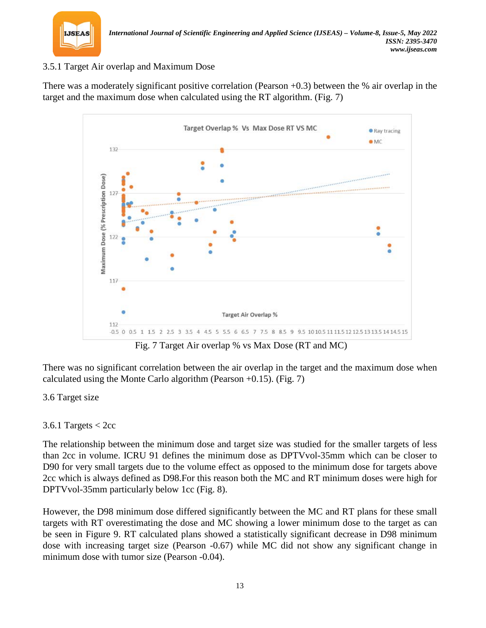

# 3.5.1 Target Air overlap and Maximum Dose

There was a moderately significant positive correlation (Pearson +0.3) between the % air overlap in the target and the maximum dose when calculated using the RT algorithm. (Fig. 7)



Fig. 7 Target Air overlap % vs Max Dose (RT and MC)

There was no significant correlation between the air overlap in the target and the maximum dose when calculated using the Monte Carlo algorithm (Pearson  $+0.15$ ). (Fig. 7)

## 3.6 Target size

# 3.6.1 Targets  $<$  2cc

The relationship between the minimum dose and target size was studied for the smaller targets of less than 2cc in volume. ICRU 91 defines the minimum dose as DPTVvol-35mm which can be closer to D90 for very small targets due to the volume effect as opposed to the minimum dose for targets above 2cc which is always defined as D98.For this reason both the MC and RT minimum doses were high for DPTVvol-35mm particularly below 1cc (Fig. 8).

However, the D98 minimum dose differed significantly between the MC and RT plans for these small targets with RT overestimating the dose and MC showing a lower minimum dose to the target as can be seen in Figure 9. RT calculated plans showed a statistically significant decrease in D98 minimum dose with increasing target size (Pearson -0.67) while MC did not show any significant change in minimum dose with tumor size (Pearson -0.04).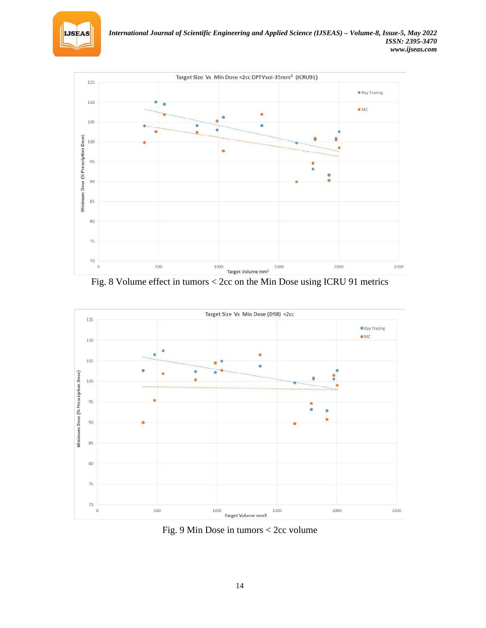



Fig. 8 Volume effect in tumors < 2cc on the Min Dose using ICRU 91 metrics



Fig. 9 Min Dose in tumors < 2cc volume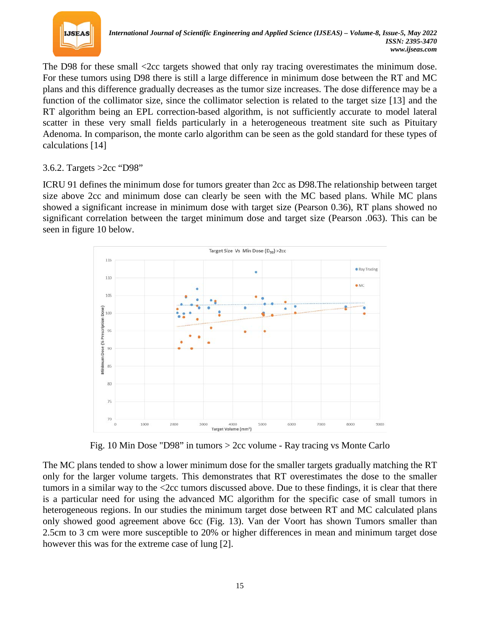

The D98 for these small <2cc targets showed that only ray tracing overestimates the minimum dose. For these tumors using D98 there is still a large difference in minimum dose between the RT and MC plans and this difference gradually decreases as the tumor size increases. The dose difference may be a function of the collimator size, since the collimator selection is related to the target size [13] and the RT algorithm being an EPL correction-based algorithm, is not sufficiently accurate to model lateral scatter in these very small fields particularly in a heterogeneous treatment site such as Pituitary Adenoma. In comparison, the monte carlo algorithm can be seen as the gold standard for these types of calculations [14]

## 3.6.2. Targets >2cc "D98"

ICRU 91 defines the minimum dose for tumors greater than 2cc as D98.The relationship between target size above 2cc and minimum dose can clearly be seen with the MC based plans. While MC plans showed a significant increase in minimum dose with target size (Pearson 0.36), RT plans showed no significant correlation between the target minimum dose and target size (Pearson .063). This can be seen in figure 10 below.



Fig. 10 Min Dose "D98" in tumors > 2cc volume - Ray tracing vs Monte Carlo

The MC plans tended to show a lower minimum dose for the smaller targets gradually matching the RT only for the larger volume targets. This demonstrates that RT overestimates the dose to the smaller tumors in a similar way to the <2cc tumors discussed above. Due to these findings, it is clear that there is a particular need for using the advanced MC algorithm for the specific case of small tumors in heterogeneous regions. In our studies the minimum target dose between RT and MC calculated plans only showed good agreement above 6cc (Fig. 13). Van der Voort has shown Tumors smaller than 2.5cm to 3 cm were more susceptible to 20% or higher differences in mean and minimum target dose however this was for the extreme case of lung [2].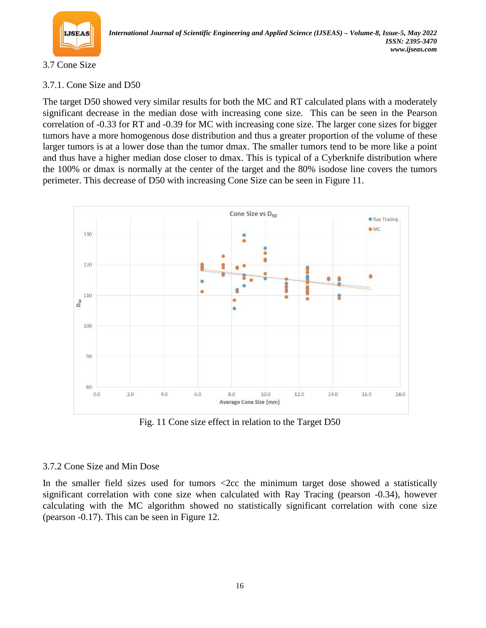

## 3.7 Cone Size

# 3.7.1. Cone Size and D50

The target D50 showed very similar results for both the MC and RT calculated plans with a moderately significant decrease in the median dose with increasing cone size. This can be seen in the Pearson correlation of -0.33 for RT and -0.39 for MC with increasing cone size. The larger cone sizes for bigger tumors have a more homogenous dose distribution and thus a greater proportion of the volume of these larger tumors is at a lower dose than the tumor dmax. The smaller tumors tend to be more like a point and thus have a higher median dose closer to dmax. This is typical of a Cyberknife distribution where the 100% or dmax is normally at the center of the target and the 80% isodose line covers the tumors perimeter. This decrease of D50 with increasing Cone Size can be seen in Figure 11.



Fig. 11 Cone size effect in relation to the Target D50

## 3.7.2 Cone Size and Min Dose

In the smaller field sizes used for tumors  $\langle$ 2cc the minimum target dose showed a statistically significant correlation with cone size when calculated with Ray Tracing (pearson -0.34), however calculating with the MC algorithm showed no statistically significant correlation with cone size (pearson -0.17). This can be seen in Figure 12.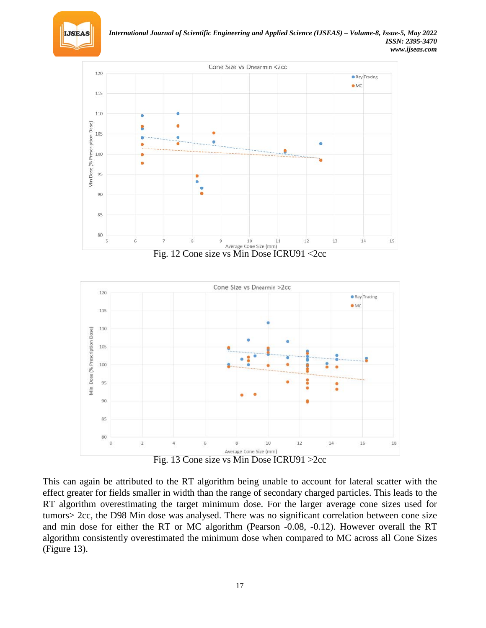



Fig. 12 Cone size vs Min Dose ICRU91 <2cc





This can again be attributed to the RT algorithm being unable to account for lateral scatter with the effect greater for fields smaller in width than the range of secondary charged particles. This leads to the RT algorithm overestimating the target minimum dose. For the larger average cone sizes used for tumors> 2cc, the D98 Min dose was analysed. There was no significant correlation between cone size and min dose for either the RT or MC algorithm (Pearson -0.08, -0.12). However overall the RT algorithm consistently overestimated the minimum dose when compared to MC across all Cone Sizes (Figure 13).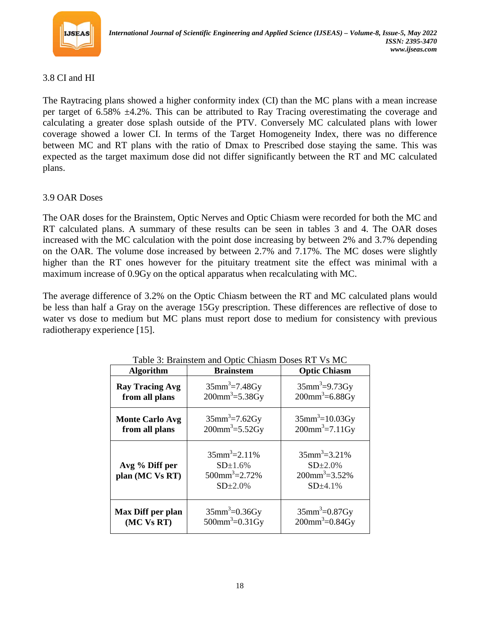

## 3.8 CI and HI

The Raytracing plans showed a higher conformity index (CI) than the MC plans with a mean increase per target of 6.58% ±4.2%. This can be attributed to Ray Tracing overestimating the coverage and calculating a greater dose splash outside of the PTV. Conversely MC calculated plans with lower coverage showed a lower CI. In terms of the Target Homogeneity Index, there was no difference between MC and RT plans with the ratio of Dmax to Prescribed dose staying the same. This was expected as the target maximum dose did not differ significantly between the RT and MC calculated plans.

## 3.9 OAR Doses

The OAR doses for the Brainstem, Optic Nerves and Optic Chiasm were recorded for both the MC and RT calculated plans. A summary of these results can be seen in tables 3 and 4. The OAR doses increased with the MC calculation with the point dose increasing by between 2% and 3.7% depending on the OAR. The volume dose increased by between 2.7% and 7.17%. The MC doses were slightly higher than the RT ones however for the pituitary treatment site the effect was minimal with a maximum increase of 0.9Gy on the optical apparatus when recalculating with MC.

The average difference of 3.2% on the Optic Chiasm between the RT and MC calculated plans would be less than half a Gray on the average 15Gy prescription. These differences are reflective of dose to water vs dose to medium but MC plans must report dose to medium for consistency with previous radiotherapy experience [15].

| <b>Algorithm</b>                  | <b>Brainstem</b>                                                                             | <b>Optic Chiasm</b>                                                                             |  |
|-----------------------------------|----------------------------------------------------------------------------------------------|-------------------------------------------------------------------------------------------------|--|
| <b>Ray Tracing Avg</b>            | $35$ mm <sup>3</sup> =7.48Gy                                                                 | $35mm^3 = 9.73Gy$                                                                               |  |
| from all plans                    | $200$ mm <sup>3</sup> =5.38Gy                                                                | $200$ mm <sup>3</sup> =6.88Gy                                                                   |  |
| <b>Monte Carlo Avg</b>            | $35$ mm <sup>3</sup> =7.62Gy                                                                 | $35$ mm <sup>3</sup> =10.03Gy                                                                   |  |
| from all plans                    | $200mm^3 = 5.52Gy$                                                                           | $200mm^3 = 7.11Gy$                                                                              |  |
| Avg % Diff per<br>plan (MC Vs RT) | $35$ mm <sup>3</sup> =2.11%<br>$SD\pm1.6%$<br>$500$ mm <sup>3</sup> $=$ 2.72%<br>$SD\pm2.0%$ | $35$ mm <sup>3</sup> $=$ 3.21%<br>$SD\pm2.0%$<br>$200$ mm <sup>3</sup> $=$ 3.52%<br>$SD\pm4.1%$ |  |
| Max Diff per plan                 | $35$ mm <sup>3</sup> =0.36Gy                                                                 | $35$ mm <sup>3</sup> =0.87Gy                                                                    |  |
| (MC Vs RT)                        | $500$ mm <sup>3</sup> =0.31Gy                                                                | $200$ mm <sup>3</sup> =0.84Gy                                                                   |  |

Table 3: Brainstem and Optic Chiasm Doses RT Vs MC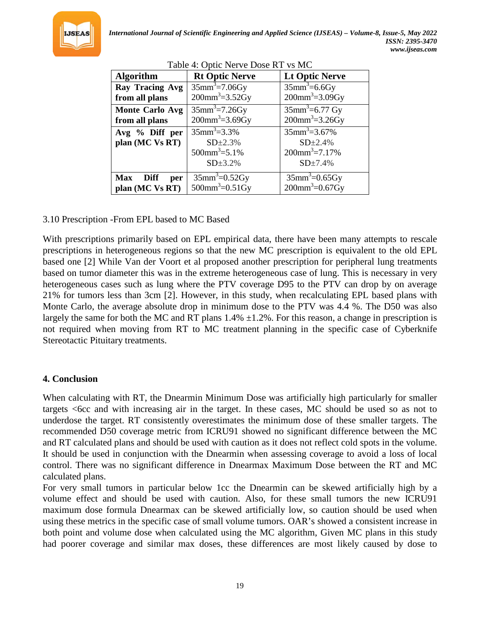

| $\ldots$ option to be so so it is the        |                                                                                       |                                                                                       |  |
|----------------------------------------------|---------------------------------------------------------------------------------------|---------------------------------------------------------------------------------------|--|
| <b>Algorithm</b>                             | <b>Rt Optic Nerve</b>                                                                 | <b>Lt Optic Nerve</b>                                                                 |  |
| Ray Tracing Avg<br>from all plans            | $35$ mm <sup>3</sup> =7.06Gy<br>$200$ mm <sup>3</sup> =3.52Gy                         | $35mm^3 = 6.6Gy$<br>$200$ mm <sup>3</sup> =3.09Gy                                     |  |
| <b>Monte Carlo Avg</b><br>from all plans     | $35$ mm <sup>3</sup> =7.26Gy<br>$200$ mm <sup>3</sup> =3.69Gy                         | $35$ mm <sup>3</sup> =6.77 Gy<br>$200mm^3 = 3.26Gy$                                   |  |
| Avg % Diff per<br>plan (MC Vs RT)            | $35$ mm <sup>3</sup> =3.3%<br>$SD+2.3%$<br>$500$ mm <sup>3</sup> =5.1%<br>$SD\pm3.2%$ | $35$ mm <sup>3</sup> =3.67%<br>$SD\pm2.4%$<br>$200$ mm <sup>3</sup> =7.17%<br>SD±7.4% |  |
| <b>Max</b><br>Diff<br>per<br>plan (MC Vs RT) | $\overline{35}$ mm <sup>3</sup> =0.52Gy<br>$500$ mm <sup>3</sup> =0.51Gy              | $35$ mm <sup>3</sup> =0.65Gy<br>$200$ mm <sup>3</sup> =0.67Gy                         |  |

Table 4: Optic Nerve Dose RT vs MC

#### 3.10 Prescription -From EPL based to MC Based

With prescriptions primarily based on EPL empirical data, there have been many attempts to rescale prescriptions in heterogeneous regions so that the new MC prescription is equivalent to the old EPL based one [2] While Van der Voort et al proposed another prescription for peripheral lung treatments based on tumor diameter this was in the extreme heterogeneous case of lung. This is necessary in very heterogeneous cases such as lung where the PTV coverage D95 to the PTV can drop by on average 21% for tumors less than 3cm [2]. However, in this study, when recalculating EPL based plans with Monte Carlo, the average absolute drop in minimum dose to the PTV was 4.4 %. The D50 was also largely the same for both the MC and RT plans  $1.4\% \pm 1.2\%$ . For this reason, a change in prescription is not required when moving from RT to MC treatment planning in the specific case of Cyberknife Stereotactic Pituitary treatments.

## **4. Conclusion**

When calculating with RT, the Dnearmin Minimum Dose was artificially high particularly for smaller targets <6cc and with increasing air in the target. In these cases, MC should be used so as not to underdose the target. RT consistently overestimates the minimum dose of these smaller targets. The recommended D50 coverage metric from ICRU91 showed no significant difference between the MC and RT calculated plans and should be used with caution as it does not reflect cold spots in the volume. It should be used in conjunction with the Dnearmin when assessing coverage to avoid a loss of local control. There was no significant difference in Dnearmax Maximum Dose between the RT and MC calculated plans.

For very small tumors in particular below 1cc the Dnearmin can be skewed artificially high by a volume effect and should be used with caution. Also, for these small tumors the new ICRU91 maximum dose formula Dnearmax can be skewed artificially low, so caution should be used when using these metrics in the specific case of small volume tumors. OAR's showed a consistent increase in both point and volume dose when calculated using the MC algorithm, Given MC plans in this study had poorer coverage and similar max doses, these differences are most likely caused by dose to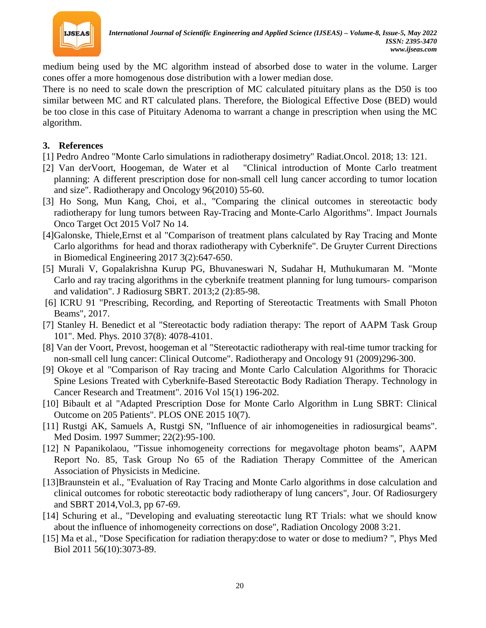

medium being used by the MC algorithm instead of absorbed dose to water in the volume. Larger cones offer a more homogenous dose distribution with a lower median dose.

There is no need to scale down the prescription of MC calculated pituitary plans as the D50 is too similar between MC and RT calculated plans. Therefore, the Biological Effective Dose (BED) would be too close in this case of Pituitary Adenoma to warrant a change in prescription when using the MC algorithm.

## **3. References**

- [1] Pedro Andreo "Monte Carlo simulations in radiotherapy dosimetry" [Radiat.Oncol.](https://www.ncbi.nlm.nih.gov/pmc/articles/PMC6020327/) 2018; 13: 121.
- [2] Van derVoort, Hoogeman, de Water et al "Clinical introduction of Monte Carlo treatment planning: A different prescription dose for non-small cell lung cancer according to tumor location and size". Radiotherapy and Oncology 96(2010) 55-60.
- [3] Ho Song, Mun Kang, Choi, et al., "Comparing the clinical outcomes in stereotactic body radiotherapy for lung tumors between Ray-Tracing and Monte-Carlo Algorithms". Impact Journals Onco Target Oct 2015 Vol7 No 14.
- [4]Galonske, Thiele,Ernst et al "Comparison of treatment plans calculated by Ray Tracing and Monte Carlo algorithms for head and thorax radiotherapy with Cyberknife". De Gruyter Current Directions in Biomedical Engineering 2017 3(2):647-650.
- [5] Murali V, Gopalakrishna Kurup PG, Bhuvaneswari N, Sudahar H, Muthukumaran M. "Monte Carlo and ray tracing algorithms in the cyberknife treatment planning for lung tumours- comparison and validation". J Radiosurg SBRT. 2013;2 (2):85-98.
- [6] ICRU 91 "Prescribing, Recording, and Reporting of Stereotactic Treatments with Small Photon Beams", 2017.
- [7] Stanley H. Benedict et al "Stereotactic body radiation therapy: The report of AAPM Task Group 101". Med. Phys. 2010 37(8): 4078-4101.
- [8] Van der Voort, Prevost, hoogeman et al "Stereotactic radiotherapy with real-time tumor tracking for non-small cell lung cancer: Clinical Outcome". Radiotherapy and Oncology 91 (2009)296-300.
- [9] Okoye et al "Comparison of Ray tracing and Monte Carlo Calculation Algorithms for Thoracic Spine Lesions Treated with Cyberknife-Based Stereotactic Body Radiation Therapy. Technology in Cancer Research and Treatment". 2016 Vol 15(1) 196-202.
- [10] Bibault et al "Adapted Prescription Dose for Monte Carlo Algorithm in Lung SBRT: Clinical Outcome on 205 Patients". PLOS ONE 2015 10(7).
- [11] Rustgi AK, Samuels A, Rustgi SN, "Influence of air inhomogeneities in radiosurgical beams". Med Dosim. 1997 Summer; 22(2):95-100.
- [12] [N Papanikolaou,](https://www.scienceopen.com/search%23author/1078cb91-339f-4b32-86ed-663108cc3873) "Tissue inhomogeneity corrections for megavoltage photon beams", AAPM Report No. 85, Task Group No 65 of the Radiation Therapy Committee of the American Association of Physicists in Medicine.
- [13]Braunstein et al., "Evaluation of Ray Tracing and Monte Carlo algorithms in dose calculation and clinical outcomes for robotic stereotactic body radiotherapy of lung cancers", Jour. Of Radiosurgery and SBRT 2014,Vol.3, pp 67-69.
- [14] Schuring et al., "Developing and evaluating stereotactic lung RT Trials: what we should know about the influence of inhomogeneity corrections on dose", Radiation Oncology 2008 3:21.
- [15] Ma et al., "Dose Specification for radiation therapy:dose to water or dose to medium? ", Phys Med Biol 2011 56(10):3073-89.